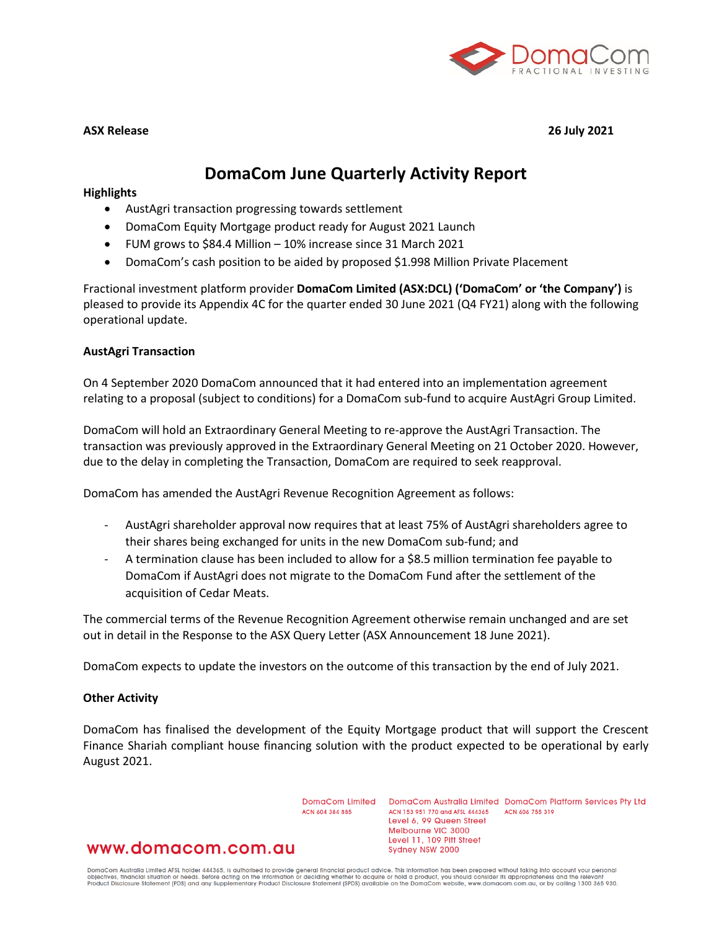

**ASX Release 26 July 2021**

# **DomaCom June Quarterly Activity Report**

#### **Highlights**

- AustAgri transaction progressing towards settlement
- DomaCom Equity Mortgage product ready for August 2021 Launch
- FUM grows to \$84.4 Million 10% increase since 31 March 2021
- DomaCom's cash position to be aided by proposed \$1.998 Million Private Placement

Fractional investment platform provider **DomaCom Limited (ASX:DCL) ('DomaCom' or 'the Company')** is pleased to provide its Appendix 4C for the quarter ended 30 June 2021 (Q4 FY21) along with the following operational update.

#### **AustAgri Transaction**

On 4 September 2020 DomaCom announced that it had entered into an implementation agreement relating to a proposal (subject to conditions) for a DomaCom sub-fund to acquire AustAgri Group Limited.

DomaCom will hold an Extraordinary General Meeting to re-approve the AustAgri Transaction. The transaction was previously approved in the Extraordinary General Meeting on 21 October 2020. However, due to the delay in completing the Transaction, DomaCom are required to seek reapproval.

DomaCom has amended the AustAgri Revenue Recognition Agreement as follows:

- AustAgri shareholder approval now requires that at least 75% of AustAgri shareholders agree to their shares being exchanged for units in the new DomaCom sub-fund; and
- A termination clause has been included to allow for a \$8.5 million termination fee payable to DomaCom if AustAgri does not migrate to the DomaCom Fund after the settlement of the acquisition of Cedar Meats.

The commercial terms of the Revenue Recognition Agreement otherwise remain unchanged and are set out in detail in the Response to the ASX Query Letter (ASX Announcement 18 June 2021).

DomaCom expects to update the investors on the outcome of this transaction by the end of July 2021.

#### **Other Activity**

DomaCom has finalised the development of the Equity Mortgage product that will support the Crescent Finance Shariah compliant house financing solution with the product expected to be operational by early August 2021.

ACN 604 384 885

DomaCom Limited DomaCom Australia Limited DomaCom Platform Services Pty Ltd ACN 153 951 770 and AFSL 444365 ACN 606 755 319 Level 6, 99 Queen Street Melbourne VIC 3000 Level 11, 109 Pitt Street Sydney NSW 2000

## www.domacom.com.au

DomaCom Australia Limited AFSL holder 444365, is authorised to provide general financial product advice. This information has been prepared without taking into account your personal<br>objectives, financial situation or needs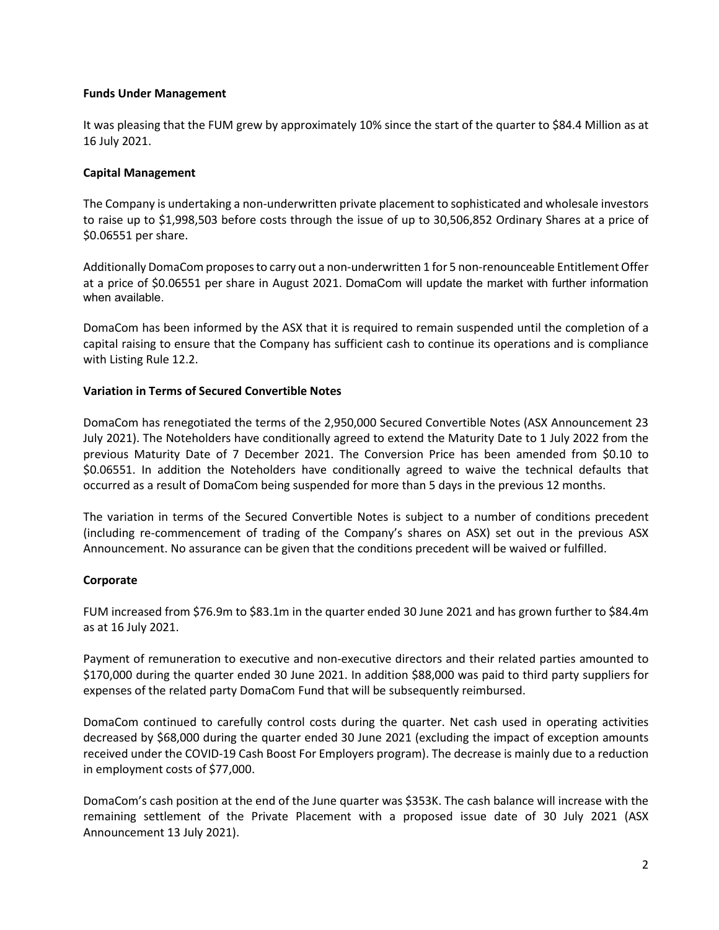### **Funds Under Management**

It was pleasing that the FUM grew by approximately 10% since the start of the quarter to \$84.4 Million as at 16 July 2021.

#### **Capital Management**

The Company is undertaking a non-underwritten private placement to sophisticated and wholesale investors to raise up to \$1,998,503 before costs through the issue of up to 30,506,852 Ordinary Shares at a price of \$0.06551 per share.

Additionally DomaCom proposes to carry out a non-underwritten 1 for 5 non-renounceable Entitlement Offer at a price of \$0.06551 per share in August 2021. DomaCom will update the market with further information when available.

DomaCom has been informed by the ASX that it is required to remain suspended until the completion of a capital raising to ensure that the Company has sufficient cash to continue its operations and is compliance with Listing Rule 12.2.

### **Variation in Terms of Secured Convertible Notes**

DomaCom has renegotiated the terms of the 2,950,000 Secured Convertible Notes (ASX Announcement 23 July 2021). The Noteholders have conditionally agreed to extend the Maturity Date to 1 July 2022 from the previous Maturity Date of 7 December 2021. The Conversion Price has been amended from \$0.10 to \$0.06551. In addition the Noteholders have conditionally agreed to waive the technical defaults that occurred as a result of DomaCom being suspended for more than 5 days in the previous 12 months.

The variation in terms of the Secured Convertible Notes is subject to a number of conditions precedent (including re-commencement of trading of the Company's shares on ASX) set out in the previous ASX Announcement. No assurance can be given that the conditions precedent will be waived or fulfilled.

### **Corporate**

FUM increased from \$76.9m to \$83.1m in the quarter ended 30 June 2021 and has grown further to \$84.4m as at 16 July 2021.

Payment of remuneration to executive and non-executive directors and their related parties amounted to \$170,000 during the quarter ended 30 June 2021. In addition \$88,000 was paid to third party suppliers for expenses of the related party DomaCom Fund that will be subsequently reimbursed.

DomaCom continued to carefully control costs during the quarter. Net cash used in operating activities decreased by \$68,000 during the quarter ended 30 June 2021 (excluding the impact of exception amounts received under the COVID-19 Cash Boost For Employers program). The decrease is mainly due to a reduction in employment costs of \$77,000.

DomaCom's cash position at the end of the June quarter was \$353K. The cash balance will increase with the remaining settlement of the Private Placement with a proposed issue date of 30 July 2021 (ASX Announcement 13 July 2021).